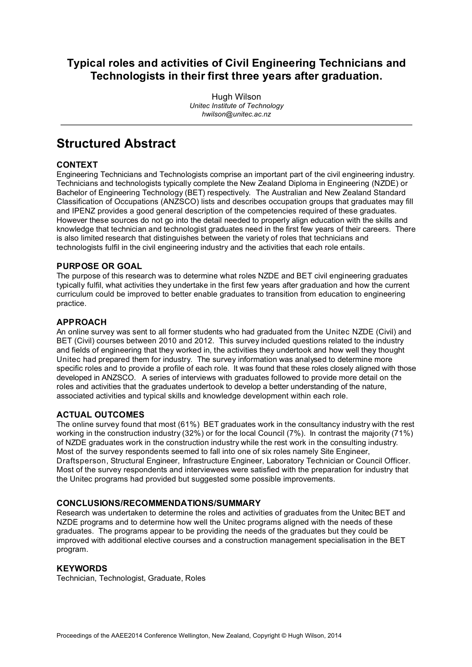## **Typical roles and activities of Civil Engineering Technicians and Technologists in their first three years after graduation.**

Hugh Wilson *Unitec Institute of Technology hwilson@unitec.ac.nz*

## **Structured Abstract**

### **CONTEXT**

Engineering Technicians and Technologists comprise an important part of the civil engineering industry. Technicians and technologists typically complete the New Zealand Diploma in Engineering (NZDE) or Bachelor of Engineering Technology (BET) respectively. The Australian and New Zealand Standard Classification of Occupations (ANZSCO) lists and describes occupation groups that graduates may fill and IPENZ provides a good general description of the competencies required of these graduates. However these sources do not go into the detail needed to properly align education with the skills and knowledge that technician and technologist graduates need in the first few years of their careers. There is also limited research that distinguishes between the variety of roles that technicians and technologists fulfil in the civil engineering industry and the activities that each role entails.

### **PURPOSE OR GOAL**

The purpose of this research was to determine what roles NZDE and BET civil engineering graduates typically fulfil, what activities they undertake in the first few years after graduation and how the current curriculum could be improved to better enable graduates to transition from education to engineering practice.

### **APPROACH**

An online survey was sent to all former students who had graduated from the Unitec NZDE (Civil) and BET (Civil) courses between 2010 and 2012. This survey included questions related to the industry and fields of engineering that they worked in, the activities they undertook and how well they thought Unitec had prepared them for industry. The survey information was analysed to determine more specific roles and to provide a profile of each role. It was found that these roles closely aligned with those developed in ANZSCO. A series of interviews with graduates followed to provide more detail on the roles and activities that the graduates undertook to develop a better understanding of the nature, associated activities and typical skills and knowledge development within each role.

### **ACTUAL OUTCOMES**

The online survey found that most (61%) BET graduates work in the consultancy industry with the rest working in the construction industry (32%) or for the local Council (7%). In contrast the majority (71%) of NZDE graduates work in the construction industry while the rest work in the consulting industry. Most of the survey respondents seemed to fall into one of six roles namely Site Engineer, Draftsperson, Structural Engineer, Infrastructure Engineer, Laboratory Technician or Council Officer. Most of the survey respondents and interviewees were satisfied with the preparation for industry that the Unitec programs had provided but suggested some possible improvements.

### **CONCLUSIONS/RECOMMENDATIONS/SUMMARY**

Research was undertaken to determine the roles and activities of graduates from the Unitec BET and NZDE programs and to determine how well the Unitec programs aligned with the needs of these graduates. The programs appear to be providing the needs of the graduates but they could be improved with additional elective courses and a construction management specialisation in the BET program.

### **KEYWORDS**

Technician, Technologist, Graduate, Roles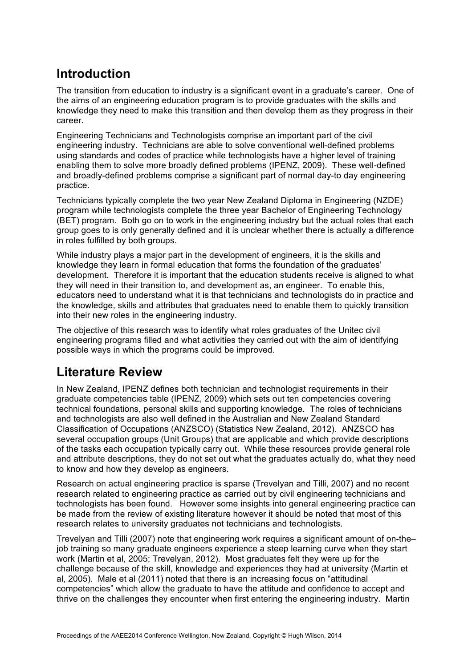## **Introduction**

The transition from education to industry is a significant event in a graduate's career. One of the aims of an engineering education program is to provide graduates with the skills and knowledge they need to make this transition and then develop them as they progress in their career.

Engineering Technicians and Technologists comprise an important part of the civil engineering industry. Technicians are able to solve conventional well-defined problems using standards and codes of practice while technologists have a higher level of training enabling them to solve more broadly defined problems (IPENZ, 2009). These well-defined and broadly-defined problems comprise a significant part of normal day-to day engineering practice.

Technicians typically complete the two year New Zealand Diploma in Engineering (NZDE) program while technologists complete the three year Bachelor of Engineering Technology (BET) program. Both go on to work in the engineering industry but the actual roles that each group goes to is only generally defined and it is unclear whether there is actually a difference in roles fulfilled by both groups.

While industry plays a major part in the development of engineers, it is the skills and knowledge they learn in formal education that forms the foundation of the graduates' development. Therefore it is important that the education students receive is aligned to what they will need in their transition to, and development as, an engineer. To enable this, educators need to understand what it is that technicians and technologists do in practice and the knowledge, skills and attributes that graduates need to enable them to quickly transition into their new roles in the engineering industry.

The objective of this research was to identify what roles graduates of the Unitec civil engineering programs filled and what activities they carried out with the aim of identifying possible ways in which the programs could be improved.

## **Literature Review**

In New Zealand, IPENZ defines both technician and technologist requirements in their graduate competencies table (IPENZ, 2009) which sets out ten competencies covering technical foundations, personal skills and supporting knowledge. The roles of technicians and technologists are also well defined in the Australian and New Zealand Standard Classification of Occupations (ANZSCO) (Statistics New Zealand, 2012). ANZSCO has several occupation groups (Unit Groups) that are applicable and which provide descriptions of the tasks each occupation typically carry out. While these resources provide general role and attribute descriptions, they do not set out what the graduates actually do, what they need to know and how they develop as engineers.

Research on actual engineering practice is sparse (Trevelyan and Tilli, 2007) and no recent research related to engineering practice as carried out by civil engineering technicians and technologists has been found. However some insights into general engineering practice can be made from the review of existing literature however it should be noted that most of this research relates to university graduates not technicians and technologists.

Trevelyan and Tilli (2007) note that engineering work requires a significant amount of on-the– job training so many graduate engineers experience a steep learning curve when they start work (Martin et al, 2005; Trevelyan, 2012). Most graduates felt they were up for the challenge because of the skill, knowledge and experiences they had at university (Martin et al, 2005). Male et al (2011) noted that there is an increasing focus on "attitudinal competencies" which allow the graduate to have the attitude and confidence to accept and thrive on the challenges they encounter when first entering the engineering industry. Martin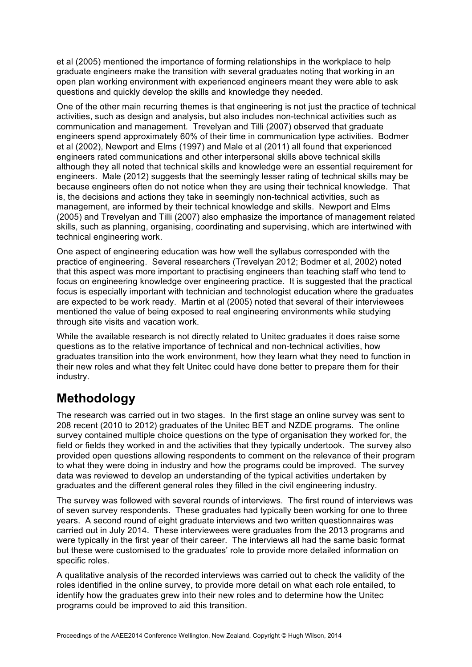et al (2005) mentioned the importance of forming relationships in the workplace to help graduate engineers make the transition with several graduates noting that working in an open plan working environment with experienced engineers meant they were able to ask questions and quickly develop the skills and knowledge they needed.

One of the other main recurring themes is that engineering is not just the practice of technical activities, such as design and analysis, but also includes non-technical activities such as communication and management. Trevelyan and Tilli (2007) observed that graduate engineers spend approximately 60% of their time in communication type activities. Bodmer et al (2002), Newport and Elms (1997) and Male et al (2011) all found that experienced engineers rated communications and other interpersonal skills above technical skills although they all noted that technical skills and knowledge were an essential requirement for engineers. Male (2012) suggests that the seemingly lesser rating of technical skills may be because engineers often do not notice when they are using their technical knowledge. That is, the decisions and actions they take in seemingly non-technical activities, such as management, are informed by their technical knowledge and skills. Newport and Elms (2005) and Trevelyan and Tilli (2007) also emphasize the importance of management related skills, such as planning, organising, coordinating and supervising, which are intertwined with technical engineering work.

One aspect of engineering education was how well the syllabus corresponded with the practice of engineering. Several researchers (Trevelyan 2012; Bodmer et al, 2002) noted that this aspect was more important to practising engineers than teaching staff who tend to focus on engineering knowledge over engineering practice. It is suggested that the practical focus is especially important with technician and technologist education where the graduates are expected to be work ready. Martin et al (2005) noted that several of their interviewees mentioned the value of being exposed to real engineering environments while studying through site visits and vacation work.

While the available research is not directly related to Unitec graduates it does raise some questions as to the relative importance of technical and non-technical activities, how graduates transition into the work environment, how they learn what they need to function in their new roles and what they felt Unitec could have done better to prepare them for their industry.

## **Methodology**

The research was carried out in two stages. In the first stage an online survey was sent to 208 recent (2010 to 2012) graduates of the Unitec BET and NZDE programs. The online survey contained multiple choice questions on the type of organisation they worked for, the field or fields they worked in and the activities that they typically undertook. The survey also provided open questions allowing respondents to comment on the relevance of their program to what they were doing in industry and how the programs could be improved. The survey data was reviewed to develop an understanding of the typical activities undertaken by graduates and the different general roles they filled in the civil engineering industry.

The survey was followed with several rounds of interviews. The first round of interviews was of seven survey respondents. These graduates had typically been working for one to three years. A second round of eight graduate interviews and two written questionnaires was carried out in July 2014. These interviewees were graduates from the 2013 programs and were typically in the first year of their career. The interviews all had the same basic format but these were customised to the graduates' role to provide more detailed information on specific roles.

A qualitative analysis of the recorded interviews was carried out to check the validity of the roles identified in the online survey, to provide more detail on what each role entailed, to identify how the graduates grew into their new roles and to determine how the Unitec programs could be improved to aid this transition.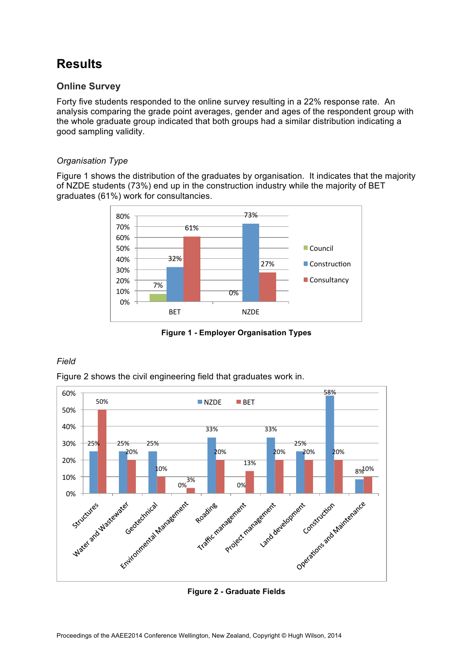# **Results**

### **Online Survey**

Forty five students responded to the online survey resulting in a 22% response rate. An analysis comparing the grade point averages, gender and ages of the respondent group with the whole graduate group indicated that both groups had a similar distribution indicating a good sampling validity.

### *Organisation Type*

Figure 1 shows the distribution of the graduates by organisation. It indicates that the majority of NZDE students (73%) end up in the construction industry while the majority of BET graduates (61%) work for consultancies.



**Figure 1 - Employer Organisation Types**

### *Field*

Figure 2 shows the civil engineering field that graduates work in.



**Figure 2 - Graduate Fields**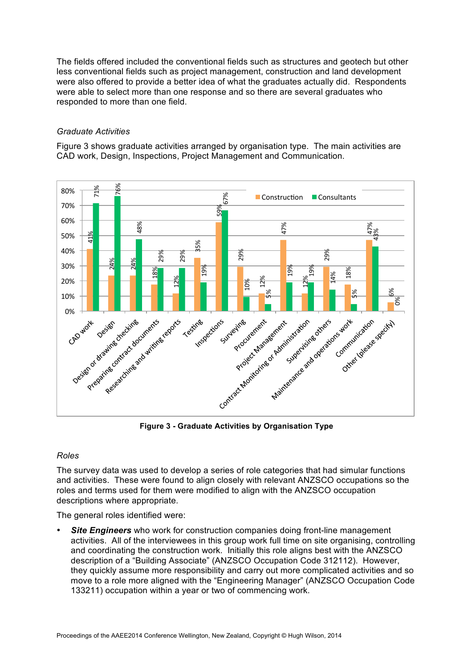The fields offered included the conventional fields such as structures and geotech but other less conventional fields such as project management, construction and land development were also offered to provide a better idea of what the graduates actually did. Respondents were able to select more than one response and so there are several graduates who responded to more than one field.

### *Graduate Activities*

Figure 3 shows graduate activities arranged by organisation type. The main activities are CAD work, Design, Inspections, Project Management and Communication.



**Figure 3 - Graduate Activities by Organisation Type**

### *Roles*

The survey data was used to develop a series of role categories that had simular functions and activities. These were found to align closely with relevant ANZSCO occupations so the roles and terms used for them were modified to align with the ANZSCO occupation descriptions where appropriate.

The general roles identified were:

**Site Engineers** who work for construction companies doing front-line management activities. All of the interviewees in this group work full time on site organising, controlling and coordinating the construction work. Initially this role aligns best with the ANZSCO description of a "Building Associate" (ANZSCO Occupation Code 312112). However, they quickly assume more responsibility and carry out more complicated activities and so move to a role more aligned with the "Engineering Manager" (ANZSCO Occupation Code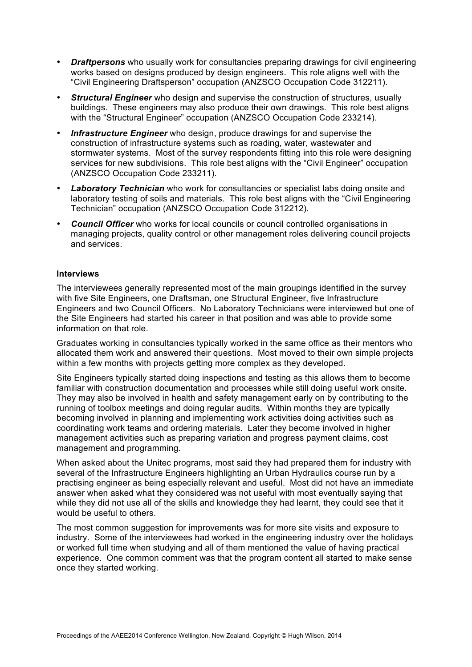- *Draftpersons* who usually work for consultancies preparing drawings for civil engineering works based on designs produced by design engineers. This role aligns well with the "Civil Engineering Draftsperson" occupation (ANZSCO Occupation Code 312211).
- *Structural Engineer* who design and supervise the construction of structures, usually buildings. These engineers may also produce their own drawings. This role best aligns with the "Structural Engineer" occupation (ANZSCO Occupation Code 233214).
- *Infrastructure Engineer* who design, produce drawings for and supervise the construction of infrastructure systems such as roading, water, wastewater and stormwater systems. Most of the survey respondents fitting into this role were designing services for new subdivisions. This role best aligns with the "Civil Engineer" occupation (ANZSCO Occupation Code 233211).
- *Laboratory Technician* who work for consultancies or specialist labs doing onsite and laboratory testing of soils and materials. This role best aligns with the "Civil Engineering Technician" occupation (ANZSCO Occupation Code 312212).
- *Council Officer* who works for local councils or council controlled organisations in managing projects, quality control or other management roles delivering council projects and services.

### **Interviews**

The interviewees generally represented most of the main groupings identified in the survey with five Site Engineers, one Draftsman, one Structural Engineer, five Infrastructure Engineers and two Council Officers. No Laboratory Technicians were interviewed but one of the Site Engineers had started his career in that position and was able to provide some information on that role.

Graduates working in consultancies typically worked in the same office as their mentors who allocated them work and answered their questions. Most moved to their own simple projects within a few months with projects getting more complex as they developed.

Site Engineers typically started doing inspections and testing as this allows them to become familiar with construction documentation and processes while still doing useful work onsite. They may also be involved in health and safety management early on by contributing to the running of toolbox meetings and doing regular audits. Within months they are typically becoming involved in planning and implementing work activities doing activities such as coordinating work teams and ordering materials. Later they become involved in higher management activities such as preparing variation and progress payment claims, cost management and programming.

When asked about the Unitec programs, most said they had prepared them for industry with several of the Infrastructure Engineers highlighting an Urban Hydraulics course run by a practising engineer as being especially relevant and useful. Most did not have an immediate answer when asked what they considered was not useful with most eventually saying that while they did not use all of the skills and knowledge they had learnt, they could see that it would be useful to others.

The most common suggestion for improvements was for more site visits and exposure to industry. Some of the interviewees had worked in the engineering industry over the holidays or worked full time when studying and all of them mentioned the value of having practical experience. One common comment was that the program content all started to make sense once they started working.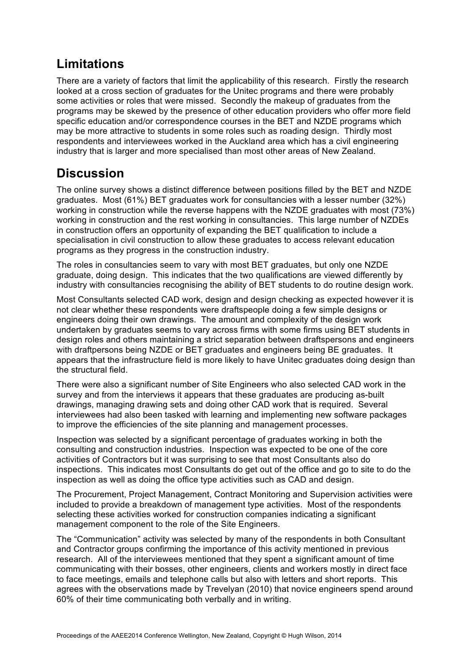## **Limitations**

There are a variety of factors that limit the applicability of this research. Firstly the research looked at a cross section of graduates for the Unitec programs and there were probably some activities or roles that were missed. Secondly the makeup of graduates from the programs may be skewed by the presence of other education providers who offer more field specific education and/or correspondence courses in the BET and NZDE programs which may be more attractive to students in some roles such as roading design. Thirdly most respondents and interviewees worked in the Auckland area which has a civil engineering industry that is larger and more specialised than most other areas of New Zealand.

## **Discussion**

The online survey shows a distinct difference between positions filled by the BET and NZDE graduates. Most (61%) BET graduates work for consultancies with a lesser number (32%) working in construction while the reverse happens with the NZDE graduates with most (73%) working in construction and the rest working in consultancies. This large number of NZDEs in construction offers an opportunity of expanding the BET qualification to include a specialisation in civil construction to allow these graduates to access relevant education programs as they progress in the construction industry.

The roles in consultancies seem to vary with most BET graduates, but only one NZDE graduate, doing design. This indicates that the two qualifications are viewed differently by industry with consultancies recognising the ability of BET students to do routine design work.

Most Consultants selected CAD work, design and design checking as expected however it is not clear whether these respondents were draftspeople doing a few simple designs or engineers doing their own drawings. The amount and complexity of the design work undertaken by graduates seems to vary across firms with some firms using BET students in design roles and others maintaining a strict separation between draftspersons and engineers with draftpersons being NZDE or BET graduates and engineers being BE graduates. It appears that the infrastructure field is more likely to have Unitec graduates doing design than the structural field.

There were also a significant number of Site Engineers who also selected CAD work in the survey and from the interviews it appears that these graduates are producing as-built drawings, managing drawing sets and doing other CAD work that is required. Several interviewees had also been tasked with learning and implementing new software packages to improve the efficiencies of the site planning and management processes.

Inspection was selected by a significant percentage of graduates working in both the consulting and construction industries. Inspection was expected to be one of the core activities of Contractors but it was surprising to see that most Consultants also do inspections. This indicates most Consultants do get out of the office and go to site to do the inspection as well as doing the office type activities such as CAD and design.

The Procurement, Project Management, Contract Monitoring and Supervision activities were included to provide a breakdown of management type activities. Most of the respondents selecting these activities worked for construction companies indicating a significant management component to the role of the Site Engineers.

The "Communication" activity was selected by many of the respondents in both Consultant and Contractor groups confirming the importance of this activity mentioned in previous research. All of the interviewees mentioned that they spent a significant amount of time communicating with their bosses, other engineers, clients and workers mostly in direct face to face meetings, emails and telephone calls but also with letters and short reports. This agrees with the observations made by Trevelyan (2010) that novice engineers spend around 60% of their time communicating both verbally and in writing.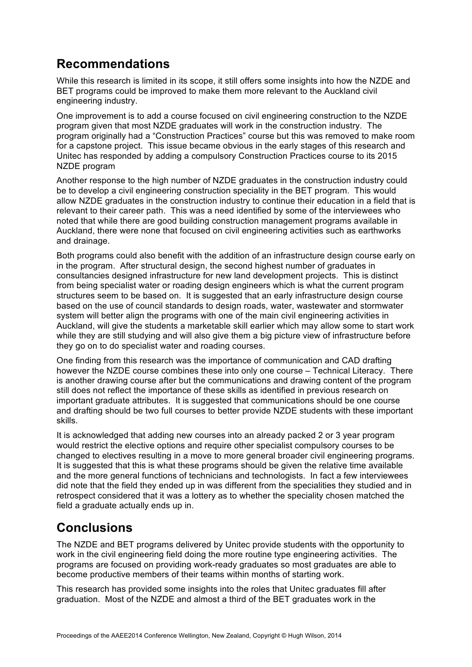## **Recommendations**

While this research is limited in its scope, it still offers some insights into how the NZDE and BET programs could be improved to make them more relevant to the Auckland civil engineering industry.

One improvement is to add a course focused on civil engineering construction to the NZDE program given that most NZDE graduates will work in the construction industry. The program originally had a "Construction Practices" course but this was removed to make room for a capstone project. This issue became obvious in the early stages of this research and Unitec has responded by adding a compulsory Construction Practices course to its 2015 NZDE program

Another response to the high number of NZDE graduates in the construction industry could be to develop a civil engineering construction speciality in the BET program. This would allow NZDE graduates in the construction industry to continue their education in a field that is relevant to their career path. This was a need identified by some of the interviewees who noted that while there are good building construction management programs available in Auckland, there were none that focused on civil engineering activities such as earthworks and drainage.

Both programs could also benefit with the addition of an infrastructure design course early on in the program. After structural design, the second highest number of graduates in consultancies designed infrastructure for new land development projects. This is distinct from being specialist water or roading design engineers which is what the current program structures seem to be based on. It is suggested that an early infrastructure design course based on the use of council standards to design roads, water, wastewater and stormwater system will better align the programs with one of the main civil engineering activities in Auckland, will give the students a marketable skill earlier which may allow some to start work while they are still studying and will also give them a big picture view of infrastructure before they go on to do specialist water and roading courses.

One finding from this research was the importance of communication and CAD drafting however the NZDE course combines these into only one course – Technical Literacy. There is another drawing course after but the communications and drawing content of the program still does not reflect the importance of these skills as identified in previous research on important graduate attributes. It is suggested that communications should be one course and drafting should be two full courses to better provide NZDE students with these important skills.

It is acknowledged that adding new courses into an already packed 2 or 3 year program would restrict the elective options and require other specialist compulsory courses to be changed to electives resulting in a move to more general broader civil engineering programs. It is suggested that this is what these programs should be given the relative time available and the more general functions of technicians and technologists. In fact a few interviewees did note that the field they ended up in was different from the specialities they studied and in retrospect considered that it was a lottery as to whether the speciality chosen matched the field a graduate actually ends up in.

# **Conclusions**

The NZDE and BET programs delivered by Unitec provide students with the opportunity to work in the civil engineering field doing the more routine type engineering activities. The programs are focused on providing work-ready graduates so most graduates are able to become productive members of their teams within months of starting work.

This research has provided some insights into the roles that Unitec graduates fill after graduation. Most of the NZDE and almost a third of the BET graduates work in the